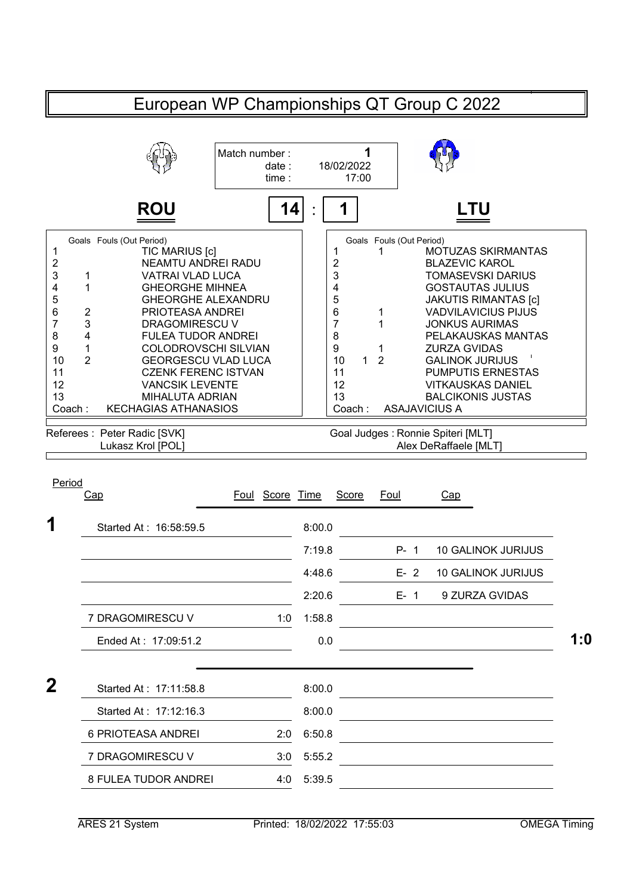## European WP Championships QT Group C 2022 **1** 18/02/2022 17:00 **ROU 14 1 LTU** 1 1 MOTUZAS SKIRMANTAS<br>2 BLAZEVIC KAROL NEAMTU ANDREI RADU BLAZEVIC KAROL 2 2 1 VATRAI VLAD LUCA TOMASEVSKI DARIUS 4 1 GHEORGHE MIHNEA | 4 GOSTAUTAS JULIUS 5 GHEORGHE ALEXANDRU | | 5 JAKUTIS RIMANTAS [c] 2 PRIOTEASA ANDREI  $\begin{array}{ccc} | & 6 & 1 & \text{VADVILAVICIUS PIJUS} \\ 3 & \text{DRAGOMIRESCU V} & 7 & 1 & \text{JONKUS AURIMAS} \end{array}$ 7 3 DRAGOMIRESCU V | | 7 1 JONKUS AURIMAS 4 FULEA TUDOR ANDREI | 8 PELAKAUSKAS MANTAS 9 1 COLODROVSCHI SILVIAN | | 9 1 ZURZA GVIDAS 10 2 GEORGESCU VLAD LUCA | 10 1 2 GALINOK JURIJUS 11 CZENK FERENC ISTVAN | | 11 PUMPUTIS ERNESTAS 12 VITKAUSKAS DANIEL 13 BALCIKONIS JUSTAS Coach : KECHAGIAS ATHANASIOS | Coach : ASAJAVICIUS A Goal Judges : Ronnie Spiteri [MLT] Lukasz Krol [POL] **Alex DeRaffaele [MLT]** Alex DeRaffaele [MLT] **1** Started At : 16:58:59.5 8:00.0 7:19.8 P- 1 10 GALINOK JURIJUS 4:48.6 E- 2 10 GALINOK JURIJUS 2:20.6 E- 1 9 ZURZA GVIDAS Match number : date : time : : Goals Fouls (Out Period) Goals Fouls (Out Period) 1<br>
TIC MARIUS [c]<br>
2<br>
NEAMTU ANDR 3 1 VATRAI VLAD LUCA<br>4 1 GHEORGHE MIHNEA 6 2 PRIOTEASA ANDREI<br>7 3 DRAGOMIRESCU V 8 4 FULEA TUDOR ANDREI 12 VANCSIK LEVENTE 13 **MIHALUTA ADRIAN** Referees : Peter Radic [SVK] Period Cap **Foul Score Time Score Foul** Cap

|   | 7 DRAGOMIRESCU V       | 1:0 | 1:58.8 |     |
|---|------------------------|-----|--------|-----|
|   | Ended At: 17:09:51.2   |     | 0.0    | 1:0 |
| 2 | Started At: 17:11:58.8 |     | 8:00.0 |     |
|   | Started At: 17:12:16.3 |     | 8:00.0 |     |
|   | 6 PRIOTEASA ANDREI     | 2:0 | 6:50.8 |     |
|   | 7 DRAGOMIRESCU V       | 3:0 | 5:55.2 |     |
|   | 8 FULEA TUDOR ANDREI   | 4:0 | 5:39.5 |     |